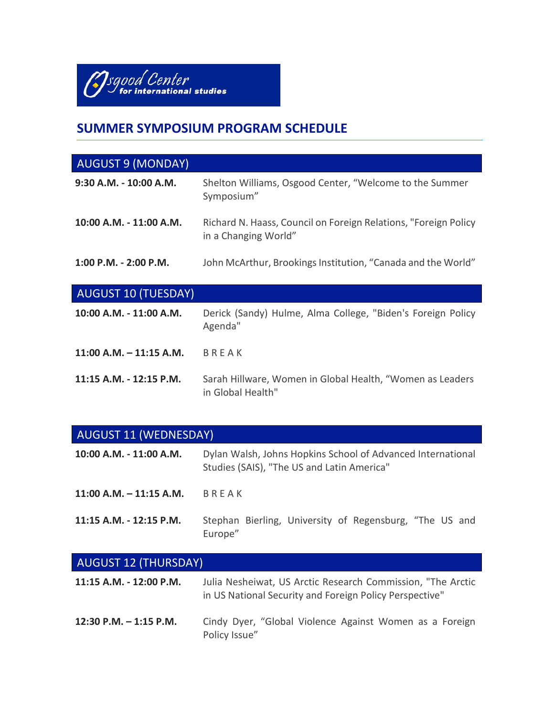

# **SUMMER SYMPOSIUM PROGRAM SCHEDULE**

| <b>AUGUST 9 (MONDAY)</b>   |                                                                                         |
|----------------------------|-----------------------------------------------------------------------------------------|
| $9:30$ A.M. - 10:00 A.M.   | Shelton Williams, Osgood Center, "Welcome to the Summer<br>Symposium"                   |
| 10:00 A.M. - 11:00 A.M.    | Richard N. Haass, Council on Foreign Relations, "Foreign Policy<br>in a Changing World" |
| $1:00$ P.M. - 2:00 P.M.    | John McArthur, Brookings Institution, "Canada and the World"                            |
| <b>AUGUST 10 (TUESDAY)</b> |                                                                                         |
| 10:00 A.M. - 11:00 A.M.    | Derick (Sandy) Hulme, Alma College, "Biden's Foreign Policy<br>Agenda"                  |
| $11:00$ A.M. $-11:15$ A.M. | BREAK                                                                                   |
| 11:15 A.M. - 12:15 P.M.    | Sarah Hillware, Women in Global Health, "Women as Leaders<br>in Global Health"          |

| <b>AUGUST 11 (WEDNESDAY)</b> |                                                                                                                        |  |
|------------------------------|------------------------------------------------------------------------------------------------------------------------|--|
| 10:00 A.M. - 11:00 A.M.      | Dylan Walsh, Johns Hopkins School of Advanced International<br>Studies (SAIS), "The US and Latin America"              |  |
| $11:00$ A.M. $-11:15$ A.M.   | BREAK                                                                                                                  |  |
| 11:15 A.M. - 12:15 P.M.      | Stephan Bierling, University of Regensburg, "The US and<br>Europe"                                                     |  |
| <b>AUGUST 12 (THURSDAY)</b>  |                                                                                                                        |  |
| 11:15 A.M. - 12:00 P.M.      | Julia Nesheiwat, US Arctic Research Commission, "The Arctic<br>in US National Security and Foreign Policy Perspective" |  |
| $12:30$ P.M. $-1:15$ P.M.    | Cindy Dyer, "Global Violence Against Women as a Foreign<br>Policy Issue"                                               |  |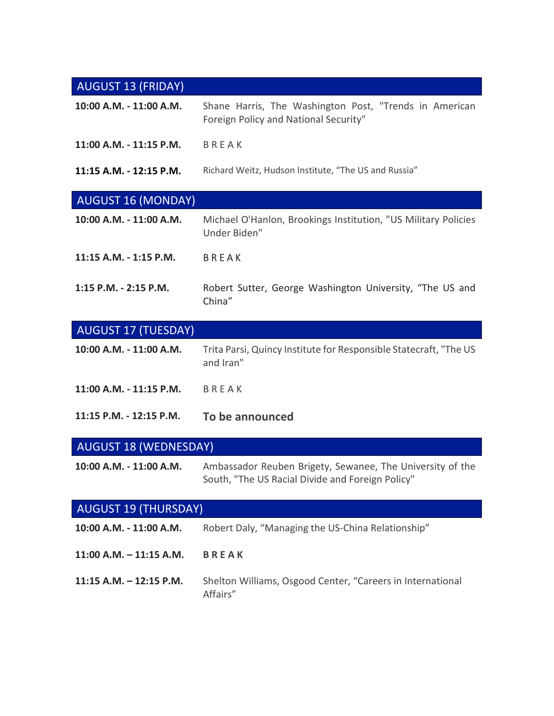# AUGUST 13 (FRIDAY)

| 10:00 A.M. - 11:00 A.M.      | Shane Harris, The Washington Post, "Trends in American<br>Foreign Policy and National Security" |  |
|------------------------------|-------------------------------------------------------------------------------------------------|--|
| 11:00 A.M. - 11:15 P.M.      | BREAK                                                                                           |  |
| 11:15 A.M. - 12:15 P.M.      | Richard Weitz, Hudson Institute, "The US and Russia"                                            |  |
| <b>AUGUST 16 (MONDAY)</b>    |                                                                                                 |  |
| 10:00 A.M. - 11:00 A.M.      | Michael O'Hanlon, Brookings Institution, "US Military Policies<br>Under Biden"                  |  |
| 11:15 A.M. - 1:15 P.M.       | <b>BREAK</b>                                                                                    |  |
| 1:15 P.M. - 2:15 P.M.        | Robert Sutter, George Washington University, "The US and<br>China"                              |  |
| <b>AUGUST 17 (TUESDAY)</b>   |                                                                                                 |  |
| 10:00 A.M. - 11:00 A.M.      | Trita Parsi, Quincy Institute for Responsible Statecraft, "The US<br>and Iran"                  |  |
| 11:00 A.M. - 11:15 P.M.      | <b>BREAK</b>                                                                                    |  |
| 11:15 P.M. - 12:15 P.M.      | To be announced                                                                                 |  |
| <b>AUGUST 18 (WEDNESDAY)</b> |                                                                                                 |  |

| 10:00 A.M. - 11:00 A.M. | Ambassador Reuben Brigety, Sewanee, The University of the |
|-------------------------|-----------------------------------------------------------|
|                         | South, "The US Racial Divide and Foreign Policy"          |

| <b>AUGUST 19 (THURSDAY)</b> |                                                                        |  |
|-----------------------------|------------------------------------------------------------------------|--|
| 10:00 A.M. - 11:00 A.M.     | Robert Daly, "Managing the US-China Relationship"                      |  |
| $11:00$ A.M. $-11:15$ A.M.  | <b>BREAK</b>                                                           |  |
| $11:15$ A.M. $-12:15$ P.M.  | Shelton Williams, Osgood Center, "Careers in International<br>Affairs" |  |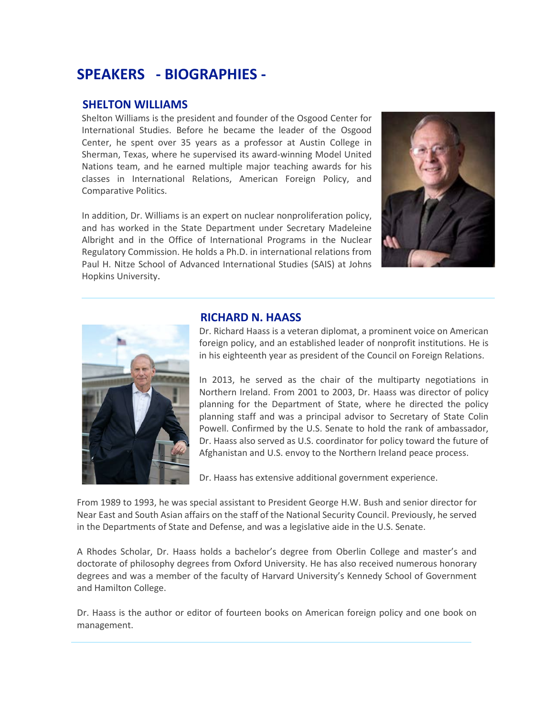# **SPEAKERS - BIOGRAPHIES -**

# **SHELTON WILLIAMS**

Shelton Williams is the president and founder of the Osgood Center for International Studies. Before he became the leader of the Osgood Center, he spent over 35 years as a professor at Austin College in Sherman, Texas, where he supervised its award-winning Model United Nations team, and he earned multiple major teaching awards for his classes in International Relations, American Foreign Policy, and Comparative Politics.

In addition, Dr. Williams is an expert on nuclear nonproliferation policy, and has worked in the State Department under Secretary Madeleine Albright and in the Office of International Programs in the Nuclear Regulatory Commission. He holds a Ph.D. in international relations from Paul H. Nitze School of Advanced International Studies (SAIS) at Johns Hopkins University.





#### **RICHARD N. HAASS**

Dr. Richard Haass is a veteran diplomat, a prominent voice on American foreign policy, and an established leader of nonprofit institutions. He is in his eighteenth year as president of the Council on Foreign Relations.

In 2013, he served as the chair of the multiparty negotiations in Northern Ireland. From 2001 to 2003, Dr. Haass was director of policy planning for the Department of State, where he directed the policy planning staff and was a principal advisor to Secretary of State Colin Powell. Confirmed by the U.S. Senate to hold the rank of ambassador, Dr. Haass also served as U.S. coordinator for policy toward the future of Afghanistan and U.S. envoy to the Northern Ireland peace process.

Dr. Haass has extensive additional government experience.

From 1989 to 1993, he was special assistant to President George H.W. Bush and senior director for Near East and South Asian affairs on the staff of the National Security Council. Previously, he served in the Departments of State and Defense, and was a legislative aide in the U.S. Senate.

A Rhodes Scholar, Dr. Haass holds a bachelor's degree from Oberlin College and master's and doctorate of philosophy degrees from Oxford University. He has also received numerous honorary degrees and was a member of the faculty of Harvard University's Kennedy School of Government and Hamilton College.

Dr. Haass is the author or editor of fourteen books on American foreign policy and one book on management.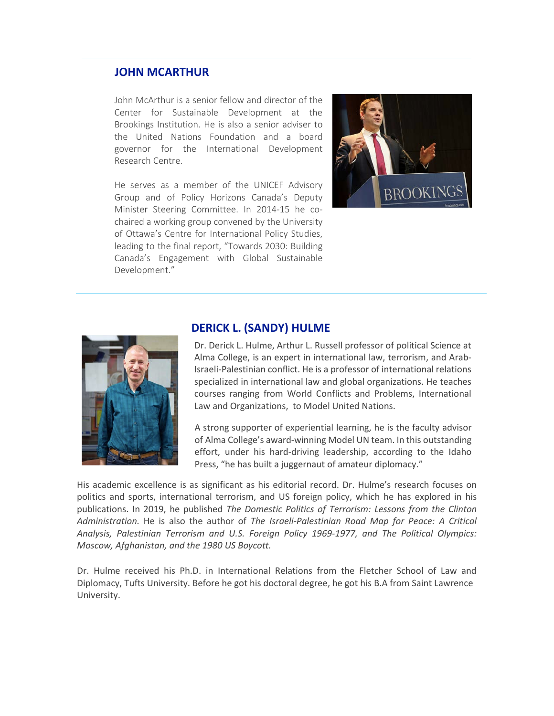# **JOHN MCARTHUR**

John McArthur is a senior fellow and director of the Center for Sustainable Development at the Brookings Institution. He is also a senior adviser to the United Nations Foundation and a board governor for the International Development Research Centre.

He serves as a member of the UNICEF Advisory Group and of Policy Horizons Canada's Deputy Minister Steering Committee. In 2014-15 he cochaired a working group convened by the University of Ottawa's Centre for International Policy Studies, leading to the final report, "Towards 2030: Building Canada's Engagement with Global Sustainable Development."





#### **DERICK L. (SANDY) HULME**

Dr. Derick L. Hulme, Arthur L. Russell professor of political Science at Alma College, is an expert in international law, terrorism, and Arab-Israeli-Palestinian conflict. He is a professor of international relations specialized in international law and global organizations. He teaches courses ranging from World Conflicts and Problems, International Law and Organizations, to Model United Nations.

A strong supporter of experiential learning, he is the faculty advisor of Alma College's award-winning Model UN team. In this outstanding effort, under his hard-driving leadership, according to the Idaho Press, "he has built a juggernaut of amateur diplomacy."

His academic excellence is as significant as his editorial record. Dr. Hulme's research focuses on politics and sports, international terrorism, and US foreign policy, which he has explored in his publications. In 2019, he published *The Domestic Politics of Terrorism: Lessons from the Clinton Administration.* He is also the author of *The Israeli-Palestinian Road Map for Peace: A Critical Analysis, Palestinian Terrorism and U.S. Foreign Policy 1969-1977, and The Political Olympics: Moscow, Afghanistan, and the 1980 US Boycott.* 

Dr. Hulme received his Ph.D. in International Relations from the Fletcher School of Law and Diplomacy, Tufts University. Before he got his doctoral degree, he got his B.A from Saint Lawrence University.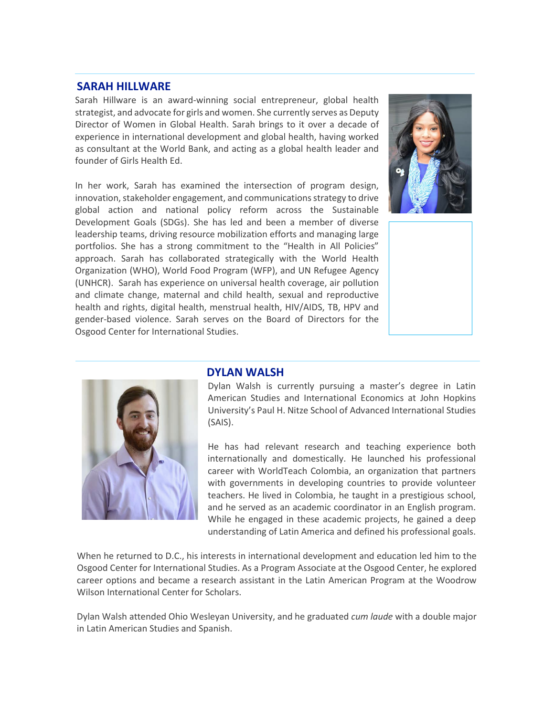# **SARAH HILLWARE**

Sarah Hillware is an award-winning social entrepreneur, global health strategist, and advocate for girls and women. She currently serves as Deputy Director of Women in Global Health. Sarah brings to it over a decade of experience in international development and global health, having worked as consultant at the World Bank, and acting as a global health leader and founder of Girls Health Ed.

In her work, Sarah has examined the intersection of program design, innovation, stakeholder engagement, and communications strategy to drive global action and national policy reform across the Sustainable Development Goals (SDGs). She has led and been a member of diverse leadership teams, driving resource mobilization efforts and managing large portfolios. She has a strong commitment to the "Health in All Policies" approach. Sarah has collaborated strategically with the World Health Organization (WHO), World Food Program (WFP), and UN Refugee Agency (UNHCR). Sarah has experience on universal health coverage, air pollution and climate change, maternal and child health, sexual and reproductive health and rights, digital health, menstrual health, HIV/AIDS, TB, HPV and gender-based violence. Sarah serves on the Board of Directors for the Osgood Center for International Studies.





#### **DYLAN WALSH**

Dylan Walsh is currently pursuing a master's degree in Latin American Studies and International Economics at John Hopkins University's Paul H. Nitze School of Advanced International Studies (SAIS).

He has had relevant research and teaching experience both internationally and domestically. He launched his professional career with WorldTeach Colombia, an organization that partners with governments in developing countries to provide volunteer teachers. He lived in Colombia, he taught in a prestigious school, and he served as an academic coordinator in an English program. While he engaged in these academic projects, he gained a deep understanding of Latin America and defined his professional goals.

When he returned to D.C., his interests in international development and education led him to the Osgood Center for International Studies. As a Program Associate at the Osgood Center, he explored career options and became a research assistant in the Latin American Program at the Woodrow Wilson International Center for Scholars.

Dylan Walsh attended Ohio Wesleyan University, and he graduated *cum laude* with a double major in Latin American Studies and Spanish.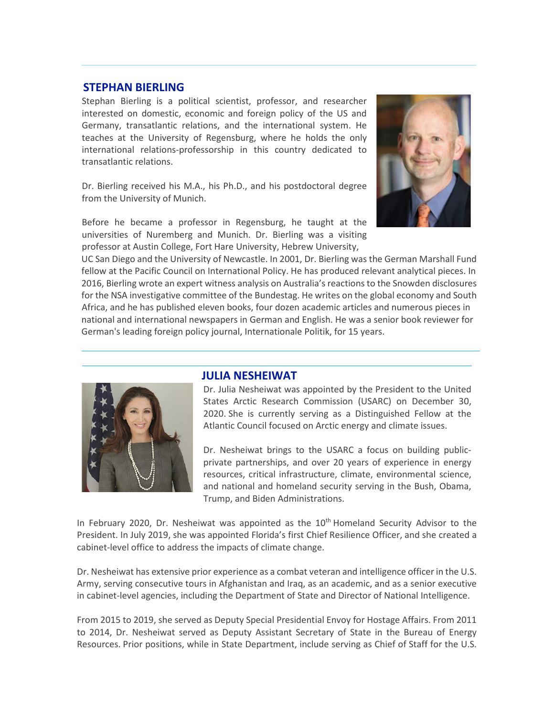# **STEPHAN BIERLING**

Stephan Bierling is a political scientist, professor, and researcher interested on domestic, economic and foreign policy of the US and Germany, transatlantic relations, and the international system. He teaches at the University of Regensburg, where he holds the only international relations-professorship in this country dedicated to transatlantic relations.

Dr. Bierling received his M.A., his Ph.D., and his postdoctoral degree from the University of Munich.

Before he became a professor in Regensburg, he taught at the universities of Nuremberg and Munich. Dr. Bierling was a visiting professor at Austin College, Fort Hare University, Hebrew University,



 UC San Diego and the University of Newcastle. In 2001, Dr. Bierling was the German Marshall Fund fellow at the Pacific Council on International Policy. He has produced relevant analytical pieces. In 2016, Bierling wrote an expert witness analysis on Australia's reactions to the Snowden disclosures for the NSA investigative committee of the Bundestag. He writes on the global economy and South Africa, and he has published eleven books, four dozen academic articles and numerous pieces in national and international newspapers in German and English. He was a senior book reviewer for German's leading foreign policy journal, Internationale Politik, for 15 years.



#### **JULIA NESHEIWAT**

Dr. Julia Nesheiwat was appointed by the President to the United States Arctic Research Commission (USARC) on December 30, 2020. She is currently serving as a Distinguished Fellow at the Atlantic Council focused on Arctic energy and climate issues.

Dr. Nesheiwat brings to the USARC a focus on building publicprivate partnerships, and over 20 years of experience in energy resources, critical infrastructure, climate, environmental science, and national and homeland security serving in the Bush, Obama, Trump, and Biden Administrations.

In February 2020, Dr. Nesheiwat was appointed as the  $10<sup>th</sup>$  Homeland Security Advisor to the President. In July 2019, she was appointed Florida's first Chief Resilience Officer, and she created a cabinet-level office to address the impacts of climate change.

Dr. Nesheiwat has extensive prior experience as a combat veteran and intelligence officer in the U.S. Army, serving consecutive tours in Afghanistan and Iraq, as an academic, and as a senior executive in cabinet-level agencies, including the Department of State and Director of National Intelligence.

From 2015 to 2019, she served as Deputy Special Presidential Envoy for Hostage Affairs. From 2011 to 2014, Dr. Nesheiwat served as Deputy Assistant Secretary of State in the Bureau of Energy Resources. Prior positions, while in State Department, include serving as Chief of Staff for the U.S.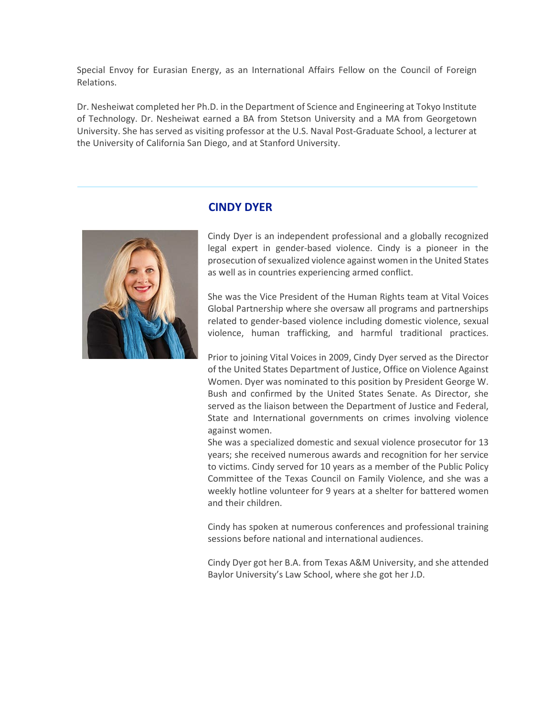Special Envoy for Eurasian Energy, as an International Affairs Fellow on the Council of Foreign Relations.

Dr. Nesheiwat completed her Ph.D. in the Department of Science and Engineering at Tokyo Institute of Technology. Dr. Nesheiwat earned a BA from Stetson University and a MA from Georgetown University. She has served as visiting professor at the U.S. Naval Post-Graduate School, a lecturer at the University of California San Diego, and at Stanford University.



# **CINDY DYER**

Cindy Dyer is an independent professional and a globally recognized legal expert in gender-based violence. Cindy is a pioneer in the prosecution of sexualized violence against women in the United States as well as in countries experiencing armed conflict.

She was the Vice President of the Human Rights team at Vital Voices Global Partnership where she oversaw all programs and partnerships related to gender-based violence including domestic violence, sexual violence, human trafficking, and harmful traditional practices.

Prior to joining Vital Voices in 2009, Cindy Dyer served as the Director of the United States Department of Justice, Office on Violence Against Women. Dyer was nominated to this position by President George W. Bush and confirmed by the United States Senate. As Director, she served as the liaison between the Department of Justice and Federal, State and International governments on crimes involving violence against women.

She was a specialized domestic and sexual violence prosecutor for 13 years; she received numerous awards and recognition for her service to victims. Cindy served for 10 years as a member of the Public Policy Committee of the Texas Council on Family Violence, and she was a weekly hotline volunteer for 9 years at a shelter for battered women and their children.

Cindy has spoken at numerous conferences and professional training sessions before national and international audiences.

Cindy Dyer got her B.A. from Texas A&M University, and she attended Baylor University's Law School, where she got her J.D.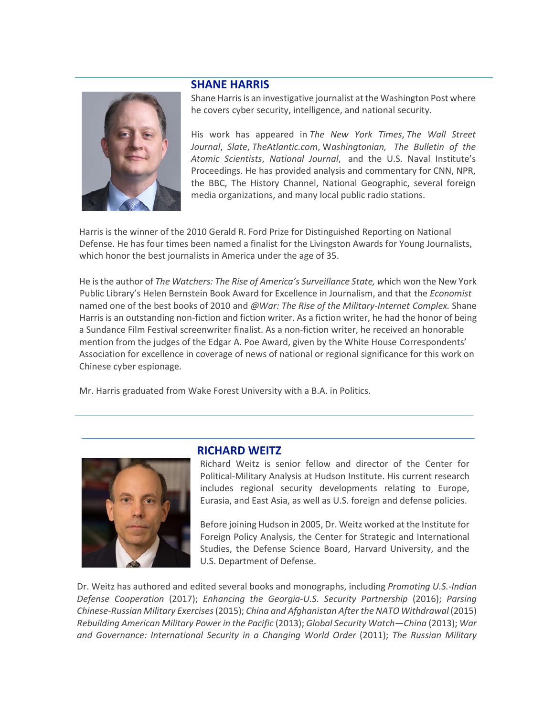# **SHANE HARRIS**



Shane Harris is an investigative journalist at the Washington Post where he covers cyber security, intelligence, and national security.

His work has appeared in *The New York Times*, *The Wall Street Journal*, *Slate*, *TheAtlantic.com*, W*ashingtonian, The Bulletin of the Atomic Scientists*, *National Journal*, and the U.S. Naval Institute's Proceedings. He has provided analysis and commentary for CNN, NPR, the BBC, The History Channel, National Geographic, several foreign media organizations, and many local public radio stations.

Harris is the winner of the 2010 Gerald R. Ford Prize for Distinguished Reporting on National Defense. He has four times been named a finalist for the Livingston Awards for Young Journalists, which honor the best journalists in America under the age of 35.

He is the author of *The Watchers: The Rise of America's Surveillance State, w*hich won the New York Public Library's Helen Bernstein Book Award for Excellence in Journalism, and that the *Economist* named one of the best books of 2010 and *@War: The Rise of the Military-Internet Complex.* Shane Harris is an outstanding non-fiction and fiction writer. As a fiction writer, he had the honor of being a Sundance Film Festival screenwriter finalist. As a non-fiction writer, he received an honorable mention from the judges of the Edgar A. Poe Award, given by the White House Correspondents' Association for excellence in coverage of news of national or regional significance for this work on Chinese cyber espionage.

Mr. Harris graduated from Wake Forest University with a B.A. in Politics.



#### **RICHARD WEITZ**

Richard Weitz is senior fellow and director of the Center for Political-Military Analysis at Hudson Institute. His current research includes regional security developments relating to Europe, Eurasia, and East Asia, as well as U.S. foreign and defense policies.

Before joining Hudson in 2005, Dr. Weitz worked at the Institute for Foreign Policy Analysis, the Center for Strategic and International Studies, the Defense Science Board, Harvard University, and the U.S. Department of Defense.

Dr. Weitz has authored and edited several books and monographs, including *Promoting U.S.-Indian Defense Cooperation* (2017); *Enhancing the Georgia-U.S. Security Partnership* (2016); *Parsing Chinese-Russian Military Exercises* (2015); *China and Afghanistan After the NATO Withdrawal* (2015) *Rebuilding American Military Power in the Pacific* (2013); *Global Security Watch—China* (2013); *War and Governance: International Security in a Changing World Order* (2011); *The Russian Military*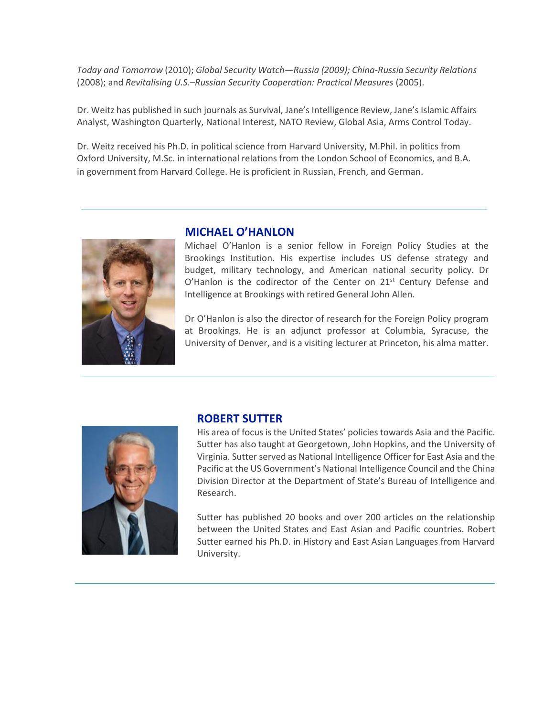*Today and Tomorrow* (2010); *Global Security Watch—Russia (2009); China-Russia Security Relations*  (2008); and *Revitalising U.S.–Russian Security Cooperation: Practical Measures* (2005).

Dr. Weitz has published in such journals as Survival, Jane's Intelligence Review, Jane's Islamic Affairs Analyst, Washington Quarterly, National Interest, NATO Review, Global Asia, Arms Control Today.

Dr. Weitz received his Ph.D. in political science from Harvard University, M.Phil. in politics from Oxford University, M.Sc. in international relations from the London School of Economics, and B.A. in government from Harvard College. He is proficient in Russian, French, and German.



# **MICHAEL O'HANLON**

Michael O'Hanlon is a senior fellow in Foreign Policy Studies at the Brookings Institution. His expertise includes US defense strategy and budget, military technology, and American national security policy. Dr O'Hanlon is the codirector of the Center on  $21<sup>st</sup>$  Century Defense and Intelligence at Brookings with retired General John Allen.

Dr O'Hanlon is also the director of research for the Foreign Policy program at Brookings. He is an adjunct professor at Columbia, Syracuse, the University of Denver, and is a visiting lecturer at Princeton, his alma matter.



# **ROBERT SUTTER**

His area of focus is the United States' policies towards Asia and the Pacific. Sutter has also taught at Georgetown, John Hopkins, and the University of Virginia. Sutter served as National Intelligence Officer for East Asia and the Pacific at the US Government's National Intelligence Council and the China Division Director at the Department of State's Bureau of Intelligence and Research.

Sutter has published 20 books and over 200 articles on the relationship between the United States and East Asian and Pacific countries. Robert Sutter earned his Ph.D. in History and East Asian Languages from Harvard University.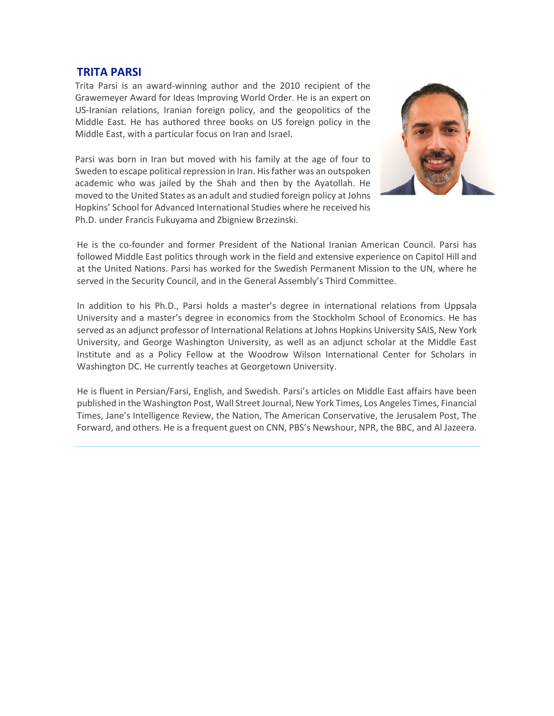# **TRITA PARSI**

Trita Parsi is an award-winning author and the 2010 recipient of the Grawemeyer Award for Ideas Improving World Order. He is an expert on US-Iranian relations, Iranian foreign policy, and the geopolitics of the Middle East. He has authored three books on US foreign policy in the Middle East, with a particular focus on Iran and Israel.

Parsi was born in Iran but moved with his family at the age of four to Sweden to escape political repression in Iran. His father was an outspoken academic who was jailed by the Shah and then by the Ayatollah. He moved to the United States as an adult and studied foreign policy at Johns Hopkins' School for Advanced International Studies where he received his Ph.D. under Francis Fukuyama and Zbigniew Brzezinski.



He is the co-founder and former President of the National Iranian American Council. Parsi has followed Middle East politics through work in the field and extensive experience on Capitol Hill and at the United Nations. Parsi has worked for the Swedish Permanent Mission to the UN, where he served in the Security Council, and in the General Assembly's Third Committee.

In addition to his Ph.D., Parsi holds a master's degree in international relations from Uppsala University and a master's degree in economics from the Stockholm School of Economics. He has served as an adjunct professor of International Relations at Johns Hopkins University SAIS, New York University, and George Washington University, as well as an adjunct scholar at the Middle East Institute and as a Policy Fellow at the Woodrow Wilson International Center for Scholars in Washington DC. He currently teaches at Georgetown University.

He is fluent in Persian/Farsi, English, and Swedish. Parsi's articles on Middle East affairs have been published in the Washington Post, Wall Street Journal, New York Times, Los Angeles Times, Financial Times, Jane's Intelligence Review, the Nation, The American Conservative, the Jerusalem Post, The Forward, and others. He is a frequent guest on CNN, PBS's Newshour, NPR, the BBC, and Al Jazeera.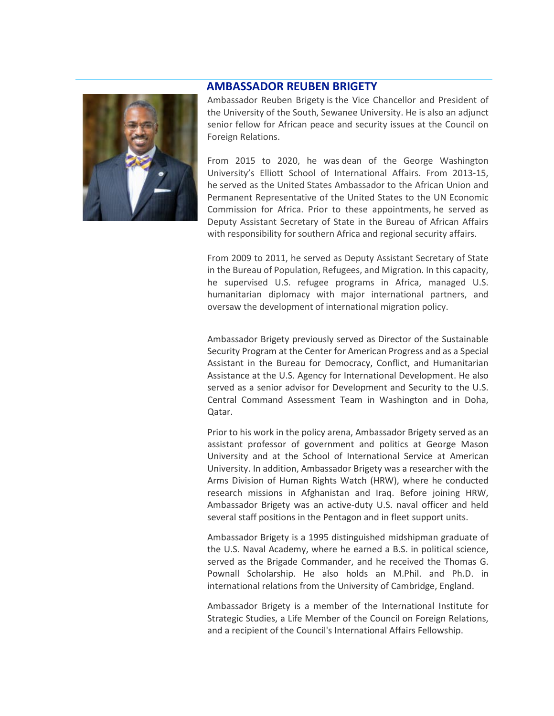# **AMBASSADOR REUBEN BRIGETY**



Ambassador Reuben Brigety is the Vice Chancellor and President of the University of the South, Sewanee University. He is also an adjunct senior fellow for African peace and security issues at the Council on Foreign Relations.

From 2015 to 2020, he was dean of the George Washington University's Elliott School of International Affairs. From 2013-15, he served as the United States Ambassador to the African Union and Permanent Representative of the United States to the UN Economic Commission for Africa. Prior to these appointments, he served as Deputy Assistant Secretary of State in the Bureau of African Affairs with responsibility for southern Africa and regional security affairs.

From 2009 to 2011, he served as Deputy Assistant Secretary of State in the Bureau of Population, Refugees, and Migration. In this capacity, he supervised U.S. refugee programs in Africa, managed U.S. humanitarian diplomacy with major international partners, and oversaw the development of international migration policy.

Ambassador Brigety previously served as Director of the Sustainable Security Program at the Center for American Progress and as a Special Assistant in the Bureau for Democracy, Conflict, and Humanitarian Assistance at the U.S. Agency for International Development. He also served as a senior advisor for Development and Security to the U.S. Central Command Assessment Team in Washington and in Doha, Qatar.

Prior to his work in the policy arena, Ambassador Brigety served as an assistant professor of government and politics at George Mason University and at the School of International Service at American University. In addition, Ambassador Brigety was a researcher with the Arms Division of Human Rights Watch (HRW), where he conducted research missions in Afghanistan and Iraq. Before joining HRW, Ambassador Brigety was an active-duty U.S. naval officer and held several staff positions in the Pentagon and in fleet support units.

Ambassador Brigety is a 1995 distinguished midshipman graduate of the U.S. Naval Academy, where he earned a B.S. in political science, served as the Brigade Commander, and he received the Thomas G. Pownall Scholarship. He also holds an M.Phil. and Ph.D. in international relations from the University of Cambridge, England.

Ambassador Brigety is a member of the International Institute for Strategic Studies, a Life Member of the Council on Foreign Relations, and a recipient of the Council's International Affairs Fellowship.